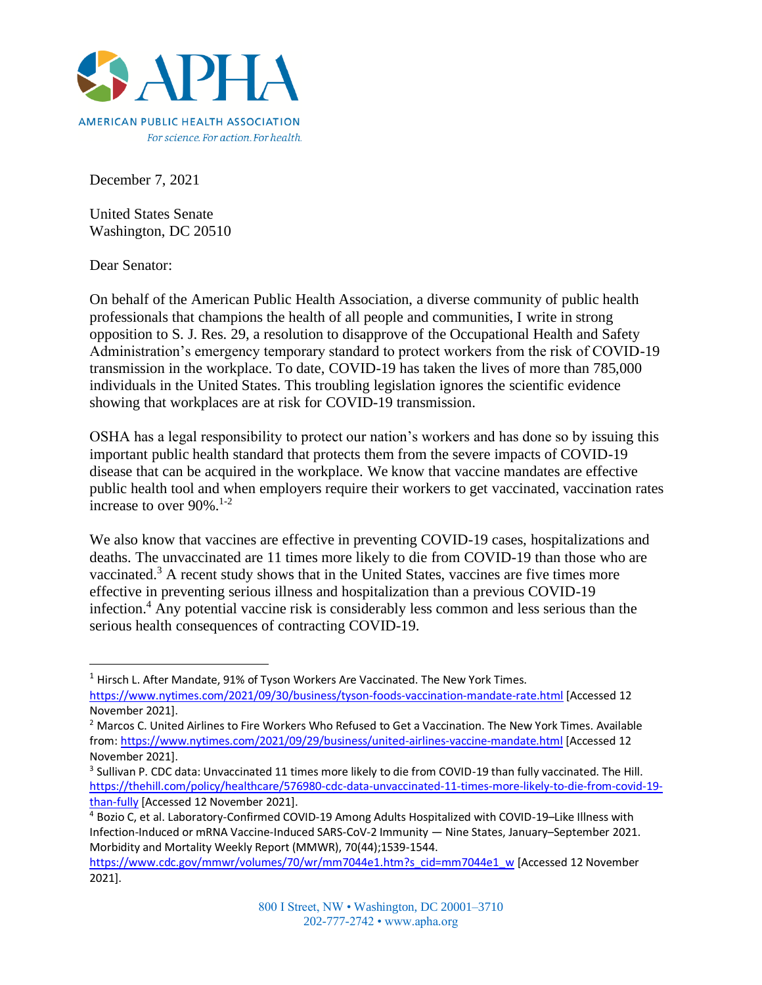

December 7, 2021

United States Senate Washington, DC 20510

Dear Senator:

On behalf of the American Public Health Association, a diverse community of public health professionals that champions the health of all people and communities, I write in strong opposition to S. J. Res. 29, a resolution to disapprove of the Occupational Health and Safety Administration's emergency temporary standard to protect workers from the risk of COVID-19 transmission in the workplace. To date, COVID-19 has taken the lives of more than 785,000 individuals in the United States. This troubling legislation ignores the scientific evidence showing that workplaces are at risk for COVID-19 transmission.

OSHA has a legal responsibility to protect our nation's workers and has done so by issuing this important public health standard that protects them from the severe impacts of COVID-19 disease that can be acquired in the workplace. We know that vaccine mandates are effective public health tool and when employers require their workers to get vaccinated, vaccination rates increase to over 90%. 1-2

We also know that vaccines are effective in preventing COVID-19 cases, hospitalizations and deaths. The unvaccinated are 11 times more likely to die from COVID-19 than those who are vaccinated.<sup>3</sup> A recent study shows that in the United States, vaccines are five times more effective in preventing serious illness and hospitalization than a previous COVID-19 infection.<sup>4</sup> Any potential vaccine risk is considerably less common and less serious than the serious health consequences of contracting COVID-19.

 $1$  Hirsch L. After Mandate, 91% of Tyson Workers Are Vaccinated. The New York Times.

<https://www.nytimes.com/2021/09/30/business/tyson-foods-vaccination-mandate-rate.html> [Accessed 12 November 2021].

<sup>&</sup>lt;sup>2</sup> Marcos C. United Airlines to Fire Workers Who Refused to Get a Vaccination. The New York Times. Available from[: https://www.nytimes.com/2021/09/29/business/united-airlines-vaccine-mandate.html](https://www.nytimes.com/2021/09/29/business/united-airlines-vaccine-mandate.html) [Accessed 12 November 2021].

<sup>&</sup>lt;sup>3</sup> Sullivan P. CDC data: Unvaccinated 11 times more likely to die from COVID-19 than fully vaccinated. The Hill. [https://thehill.com/policy/healthcare/576980-cdc-data-unvaccinated-11-times-more-likely-to-die-from-covid-19](https://thehill.com/policy/healthcare/576980-cdc-data-unvaccinated-11-times-more-likely-to-die-from-covid-19-than-fully) [than-fully](https://thehill.com/policy/healthcare/576980-cdc-data-unvaccinated-11-times-more-likely-to-die-from-covid-19-than-fully) [Accessed 12 November 2021].

<sup>4</sup> Bozio C, et al. Laboratory-Confirmed COVID-19 Among Adults Hospitalized with COVID-19–Like Illness with Infection-Induced or mRNA Vaccine-Induced SARS-CoV-2 Immunity — Nine States, January–September 2021. Morbidity and Mortality Weekly Report (MMWR), 70(44);1539-1544.

[https://www.cdc.gov/mmwr/volumes/70/wr/mm7044e1.htm?s\\_cid=mm7044e1\\_w](https://www.cdc.gov/mmwr/volumes/70/wr/mm7044e1.htm?s_cid=mm7044e1_w) [Accessed 12 November 2021].